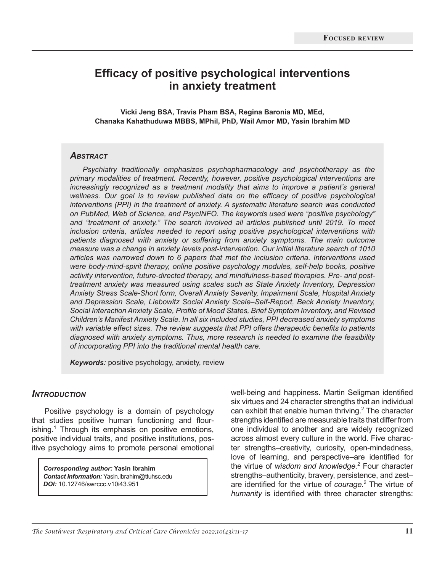# **Efficacy of positive psychological interventions in anxiety treatment**

**Vicki Jeng BSA, Travis Pham BSA, Regina Baronia MD, MEd, Chanaka Kahathuduwa MBBS, MPhil, PhD, Wail Amor MD, Yasin Ibrahim MD**

#### *Abstract*

*Psychiatry traditionally emphasizes psychopharmacology and psychotherapy as the primary modalities of treatment. Recently, however, positive psychological interventions are increasingly recognized as a treatment modality that aims to improve a patient's general wellness. Our goal is to review published data on the efficacy of positive psychological interventions (PPI) in the treatment of anxiety. A systematic literature search was conducted on PubMed, Web of Science, and PsycINFO. The keywords used were "positive psychology" and "treatment of anxiety." The search involved all articles published until 2019. To meet inclusion criteria, articles needed to report using positive psychological interventions with patients diagnosed with anxiety or suffering from anxiety symptoms. The main outcome measure was a change in anxiety levels post-intervention. Our initial literature search of 1010 articles was narrowed down to 6 papers that met the inclusion criteria. Interventions used were body-mind-spirit therapy, online positive psychology modules, self-help books, positive activity intervention, future-directed therapy, and mindfulness-based therapies. Pre- and posttreatment anxiety was measured using scales such as State Anxiety Inventory, Depression Anxiety Stress Scale-Short form, Overall Anxiety Severity, Impairment Scale, Hospital Anxiety and Depression Scale, Liebowitz Social Anxiety Scale–Self-Report, Beck Anxiety Inventory, Social Interaction Anxiety Scale, Profile of Mood States, Brief Symptom Inventory, and Revised Children's Manifest Anxiety Scale. In all six included studies, PPI decreased anxiety symptoms with variable effect sizes. The review suggests that PPI offers therapeutic benefits to patients diagnosed with anxiety symptoms. Thus, more research is needed to examine the feasibility of incorporating PPI into the traditional mental health care.*

*Keywords:* positive psychology, anxiety, review

#### *Introduction*

Positive psychology is a domain of psychology that studies positive human functioning and flourishing.<sup>1</sup> Through its emphasis on positive emotions, positive individual traits, and positive institutions, positive psychology aims to promote personal emotional

*Corresponding author:* **Yasin Ibrahim**  *Contact Information:* Yasin.Ibrahim@ttuhsc.edu *DOI:* 10.12746/swrccc.v10i43.951

well-being and happiness. Martin Seligman identified six virtues and 24 character strengths that an individual can exhibit that enable human thriving.<sup>2</sup> The character strengths identified are measurable traits that differ from one individual to another and are widely recognized across almost every culture in the world. Five character strengths–creativity, curiosity, open-mindedness, love of learning, and perspective–are identified for the virtue of *wisdom and knowledge.*<sup>2</sup> Four character strengths–authenticity, bravery, persistence, and zest– are identified for the virtue of *courage.*<sup>2</sup> The virtue of *humanity* is identified with three character strengths: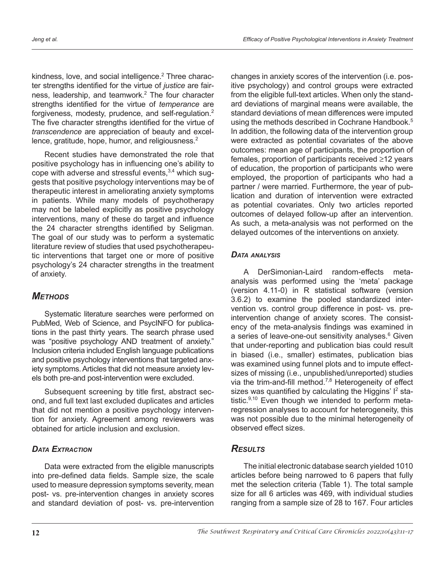kindness, love, and social intelligence.<sup>2</sup> Three character strengths identified for the virtue of *justice* are fairness, leadership, and teamwork.<sup>2</sup> The four character strengths identified for the virtue of *temperance* are forgiveness, modesty, prudence, and self-regulation.2 The five character strengths identified for the virtue of *transcendence* are appreciation of beauty and excellence, gratitude, hope, humor, and religiousness.<sup>2</sup>

Recent studies have demonstrated the role that positive psychology has in influencing one's ability to cope with adverse and stressful events,<sup>3,4</sup> which suggests that positive psychology interventions may be of therapeutic interest in ameliorating anxiety symptoms in patients. While many models of psychotherapy may not be labeled explicitly as positive psychology interventions, many of these do target and influence the 24 character strengths identified by Seligman. The goal of our study was to perform a systematic literature review of studies that used psychotherapeutic interventions that target one or more of positive psychology's 24 character strengths in the treatment of anxiety.

# *Methods*

Systematic literature searches were performed on PubMed, Web of Science, and PsycINFO for publications in the past thirty years. The search phrase used was "positive psychology AND treatment of anxiety." Inclusion criteria included English language publications and positive psychology interventions that targeted anxiety symptoms. Articles that did not measure anxiety levels both pre-and post-intervention were excluded.

Subsequent screening by title first, abstract second, and full text last excluded duplicates and articles that did not mention a positive psychology intervention for anxiety. Agreement among reviewers was obtained for article inclusion and exclusion.

# *Data Extraction*

Data were extracted from the eligible manuscripts into pre-defined data fields. Sample size, the scale used to measure depression symptoms severity, mean post- vs. pre-intervention changes in anxiety scores and standard deviation of post- vs. pre-intervention changes in anxiety scores of the intervention (i.e. positive psychology) and control groups were extracted from the eligible full-text articles. When only the standard deviations of marginal means were available, the standard deviations of mean differences were imputed using the methods described in Cochrane Handbook.<sup>5</sup> In addition, the following data of the intervention group were extracted as potential covariates of the above outcomes: mean age of participants, the proportion of females, proportion of participants received ≥12 years of education, the proportion of participants who were employed, the proportion of participants who had a partner / were married. Furthermore, the year of publication and duration of intervention were extracted as potential covariates. Only two articles reported outcomes of delayed follow-up after an intervention. As such, a meta-analysis was not performed on the delayed outcomes of the interventions on anxiety.

### *Data analysis*

A DerSimonian-Laird random-effects metaanalysis was performed using the 'meta' package (version 4.11-0) in R statistical software (version 3.6.2) to examine the pooled standardized intervention vs. control group difference in post- vs. preintervention change of anxiety scores. The consistency of the meta-analysis findings was examined in a series of leave-one-out sensitivity analyses.<sup>6</sup> Given that under-reporting and publication bias could result in biased (i.e., smaller) estimates, publication bias was examined using funnel plots and to impute effectsizes of missing (i.e., unpublished/unreported) studies via the trim-and-fill method.<sup>7,8</sup> Heterogeneity of effect sizes was quantified by calculating the Higgins'  $I^2$  statistic.<sup>9,10</sup> Even though we intended to perform metaregression analyses to account for heterogeneity, this was not possible due to the minimal heterogeneity of observed effect sizes.

# *Results*

The initial electronic database search yielded 1010 articles before being narrowed to 6 papers that fully met the selection criteria (Table 1). The total sample size for all 6 articles was 469, with individual studies ranging from a sample size of 28 to 167. Four articles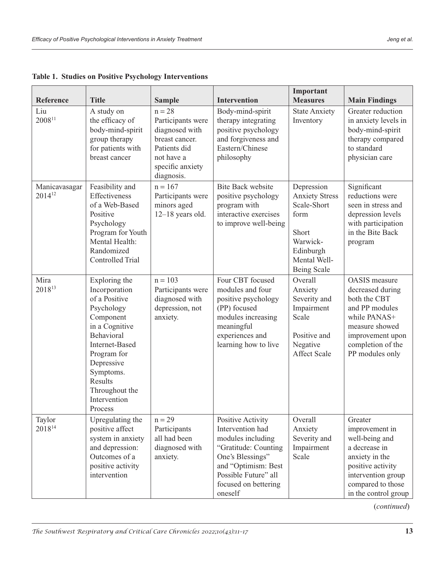| <b>Reference</b>                    | <b>Title</b>                                                                                                                                                                                                                   | <b>Sample</b>                                                                                                                     | <b>Intervention</b>                                                                                                                                                                      | Important<br><b>Measures</b>                                                                                                | <b>Main Findings</b>                                                                                                                                                     |
|-------------------------------------|--------------------------------------------------------------------------------------------------------------------------------------------------------------------------------------------------------------------------------|-----------------------------------------------------------------------------------------------------------------------------------|------------------------------------------------------------------------------------------------------------------------------------------------------------------------------------------|-----------------------------------------------------------------------------------------------------------------------------|--------------------------------------------------------------------------------------------------------------------------------------------------------------------------|
| Liu<br>$2008^{11}$                  | A study on<br>the efficacy of<br>body-mind-spirit<br>group therapy<br>for patients with<br>breast cancer                                                                                                                       | $n = 28$<br>Participants were<br>diagnosed with<br>breast cancer.<br>Patients did<br>not have a<br>specific anxiety<br>diagnosis. | Body-mind-spirit<br>therapy integrating<br>positive psychology<br>and forgiveness and<br>Eastern/Chinese<br>philosophy                                                                   | <b>State Anxiety</b><br>Inventory                                                                                           | Greater reduction<br>in anxiety levels in<br>body-mind-spirit<br>therapy compared<br>to standard<br>physician care                                                       |
| Manicavasagar<br>2014 <sup>12</sup> | Feasibility and<br>Effectiveness<br>of a Web-Based<br>Positive<br>Psychology<br>Program for Youth<br>Mental Health:<br>Randomized<br><b>Controlled Trial</b>                                                                   | $n = 167$<br>Participants were<br>minors aged<br>$12-18$ years old.                                                               | <b>Bite Back website</b><br>positive psychology<br>program with<br>interactive exercises<br>to improve well-being                                                                        | Depression<br><b>Anxiety Stress</b><br>Scale-Short<br>form<br>Short<br>Warwick-<br>Edinburgh<br>Mental Well-<br>Being Scale | Significant<br>reductions were<br>seen in stress and<br>depression levels<br>with participation<br>in the Bite Back<br>program                                           |
| Mira<br>2018 <sup>13</sup>          | Exploring the<br>Incorporation<br>of a Positive<br>Psychology<br>Component<br>in a Cognitive<br>Behavioral<br>Internet-Based<br>Program for<br>Depressive<br>Symptoms.<br>Results<br>Throughout the<br>Intervention<br>Process | $n = 103$<br>Participants were<br>diagnosed with<br>depression, not<br>anxiety.                                                   | Four CBT focused<br>modules and four<br>positive psychology<br>(PP) focused<br>modules increasing<br>meaningful<br>experiences and<br>learning how to live                               | Overall<br>Anxiety<br>Severity and<br>Impairment<br>Scale<br>Positive and<br>Negative<br><b>Affect Scale</b>                | <b>OASIS</b> measure<br>decreased during<br>both the CBT<br>and PP modules<br>while PANAS+<br>measure showed<br>improvement upon<br>completion of the<br>PP modules only |
| Taylor<br>2018 <sup>14</sup>        | Upregulating the<br>positive affect<br>system in anxiety<br>and depression:<br>Outcomes of a<br>positive activity<br>intervention                                                                                              | $n = 29$<br>Participants<br>all had been<br>diagnosed with<br>anxiety.                                                            | Positive Activity<br>Intervention had<br>modules including<br>"Gratitude: Counting<br>One's Blessings"<br>and "Optimism: Best<br>Possible Future" all<br>focused on bettering<br>oneself | Overall<br>Anxiety<br>Severity and<br>Impairment<br>Scale                                                                   | Greater<br>improvement in<br>well-being and<br>a decrease in<br>anxiety in the<br>positive activity<br>intervention group<br>compared to those<br>in the control group   |

**Table 1. Studies on Positive Psychology Interventions**

(*continued*)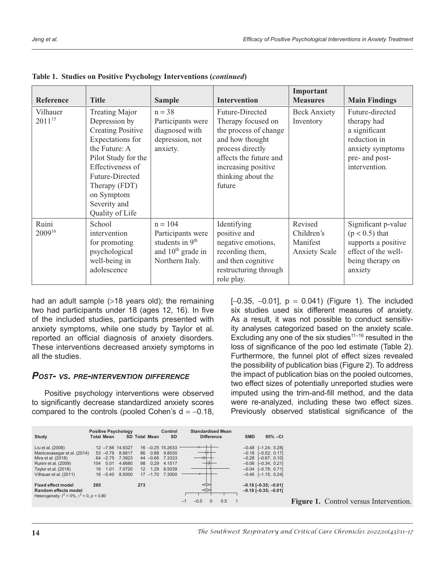| Reference                   | <b>Title</b>                                                                                                                                                                                                                            | <b>Sample</b>                                                                                           | <b>Intervention</b>                                                                                                                                                                    | Important<br><b>Measures</b>                              | <b>Main Findings</b>                                                                                                   |
|-----------------------------|-----------------------------------------------------------------------------------------------------------------------------------------------------------------------------------------------------------------------------------------|---------------------------------------------------------------------------------------------------------|----------------------------------------------------------------------------------------------------------------------------------------------------------------------------------------|-----------------------------------------------------------|------------------------------------------------------------------------------------------------------------------------|
| Vilhauer<br>$2011^{15}$     | <b>Treating Major</b><br>Depression by<br><b>Creating Positive</b><br>Expectations for<br>the Future: A<br>Pilot Study for the<br>Effectiveness of<br>Future-Directed<br>Therapy (FDT)<br>on Symptom<br>Severity and<br>Quality of Life | $n = 38$<br>Participants were<br>diagnosed with<br>depression, not<br>anxiety.                          | Future-Directed<br>Therapy focused on<br>the process of change<br>and how thought<br>process directly<br>affects the future and<br>increasing positive<br>thinking about the<br>future | <b>Beck Anxiety</b><br>Inventory                          | Future-directed<br>therapy had<br>a significant<br>reduction in<br>anxiety symptoms<br>pre- and post-<br>intervention. |
| Ruini<br>2009 <sup>16</sup> | School<br>intervention<br>for promoting<br>psychological<br>well-being in<br>adolescence                                                                                                                                                | $n = 104$<br>Participants were<br>students in 9 <sup>th</sup><br>and $10th$ grade in<br>Northern Italy. | Identifying<br>positive and<br>negative emotions,<br>recording them,<br>and then cognitive<br>restructuring through<br>role play.                                                      | Revised<br>Children's<br>Manifest<br><b>Anxiety Scale</b> | Significant p-value<br>$(p < 0.5)$ that<br>supports a positive<br>effect of the well-<br>being therapy on<br>anxiety   |

|  |  |  |  | Table 1. Studies on Positive Psychology Interventions (continued) |  |
|--|--|--|--|-------------------------------------------------------------------|--|
|--|--|--|--|-------------------------------------------------------------------|--|

had an adult sample (>18 years old); the remaining two had participants under 18 (ages 12, 16). In five of the included studies, participants presented with anxiety symptoms, while one study by Taylor et al. reported an official diagnosis of anxiety disorders. These interventions decreased anxiety symptoms in all the studies.

#### *Post- vs. pre-intervention difference*

Positive psychology interventions were observed to significantly decrease standardized anxiety scores compared to the controls (pooled Cohen's  $d = -0.18$ ,  $[-0.35, -0.01]$ ,  $p = 0.041$ ) (Figure 1). The included six studies used six different measures of anxiety. As a result, it was not possible to conduct sensitivity analyses categorized based on the anxiety scale. Excluding any one of the six studies $11-16$  resulted in the loss of significance of the poo led estimate (Table 2). Furthermore, the funnel plot of effect sizes revealed the possibility of publication bias (Figure 2). To address the impact of publication bias on the pooled outcomes, two effect sizes of potentially unreported studies were imputed using the trim-and-fill method, and the data were re-analyzed, including these two effect sizes. Previously observed statistical significance of the

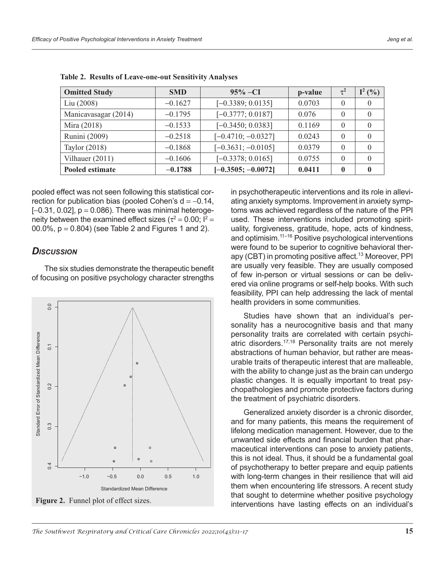| <b>Omitted Study</b> | <b>SMD</b> | $95\% -CI$           | p-value | $\tau^2$     | $I^2(%)$ |
|----------------------|------------|----------------------|---------|--------------|----------|
| Liu(2008)            | $-0.1627$  | $[-0.3389; 0.0135]$  | 0.0703  |              |          |
| Manicavasagar (2014) | $-0.1795$  | $[-0.3777; 0.0187]$  | 0.076   |              |          |
| Mira (2018)          | $-0.1533$  | $[-0.3450; 0.0383]$  | 0.1169  |              |          |
| Runini (2009)        | $-0.2518$  | $[-0.4710; -0.0327]$ | 0.0243  |              |          |
| Taylor (2018)        | $-0.1868$  | $[-0.3631; -0.0105]$ | 0.0379  |              |          |
| Vilhauer $(2011)$    | $-0.1606$  | $[-0.3378; 0.0165]$  | 0.0755  |              |          |
| Pooled estimate      | $-0.1788$  | $[-0.3505; -0.0072]$ | 0.0411  | $\mathbf{0}$ |          |

**Table 2. Results of Leave-one-out Sensitivity Analyses**

pooled effect was not seen following this statistical correction for publication bias (pooled Cohen's  $d = -0.14$ ,  $[-0.31, 0.02]$ ,  $p = 0.086$ ). There was minimal heterogeneity between the examined effect sizes ( $\tau^2 = 0.00$ ;  $I^2 =$ 00.0%,  $p = 0.804$ ) (see Table 2 and Figures 1 and 2).

### *Discussion*

The six studies demonstrate the therapeutic benefit of focusing on positive psychology character strengths



**Figure 2.** Funnel plot of effect sizes.

in psychotherapeutic interventions and its role in alleviating anxiety symptoms. Improvement in anxiety symptoms was achieved regardless of the nature of the PPI used. These interventions included promoting spirituality, forgiveness, gratitude, hope, acts of kindness, and optimisim.<sup>11–16</sup> Positive psychological interventions were found to be superior to cognitive behavioral therapy (CBT) in promoting positive affect.<sup>13</sup> Moreover, PPI are usually very feasible. They are usually composed of few in-person or virtual sessions or can be delivered via online programs or self-help books. With such feasibility, PPI can help addressing the lack of mental health providers in some communities.

Studies have shown that an individual's personality has a neurocognitive basis and that many personality traits are correlated with certain psychiatric disorders.17,18 Personality traits are not merely abstractions of human behavior, but rather are measurable traits of therapeutic interest that are malleable, with the ability to change just as the brain can undergo plastic changes. It is equally important to treat psychopathologies and promote protective factors during the treatment of psychiatric disorders.

Generalized anxiety disorder is a chronic disorder, and for many patients, this means the requirement of lifelong medication management. However, due to the unwanted side effects and financial burden that pharmaceutical interventions can pose to anxiety patients, this is not ideal. Thus, it should be a fundamental goal of psychotherapy to better prepare and equip patients with long-term changes in their resilience that will aid them when encountering life stressors. A recent study that sought to determine whether positive psychology interventions have lasting effects on an individual's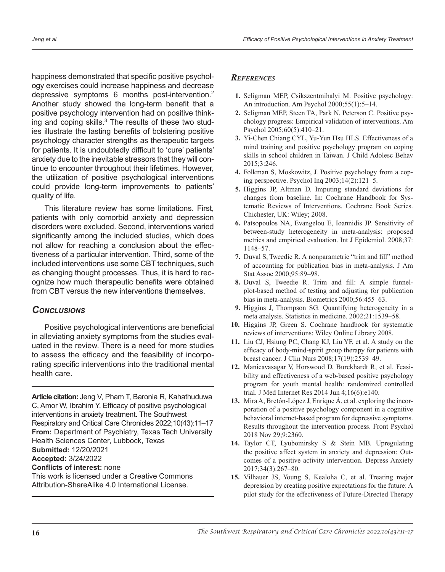happiness demonstrated that specific positive psychology exercises could increase happiness and decrease depressive symptoms 6 months post-intervention.<sup>2</sup> Another study showed the long-term benefit that a positive psychology intervention had on positive thinking and coping skills.<sup>3</sup> The results of these two studies illustrate the lasting benefits of bolstering positive psychology character strengths as therapeutic targets for patients. It is undoubtedly difficult to 'cure' patients' anxiety due to the inevitable stressors that they will continue to encounter throughout their lifetimes. However, the utilization of positive psychological interventions could provide long-term improvements to patients' quality of life.

This literature review has some limitations. First, patients with only comorbid anxiety and depression disorders were excluded. Second, interventions varied significantly among the included studies, which does not allow for reaching a conclusion about the effectiveness of a particular intervention. Third, some of the included interventions use some CBT techniques, such as changing thought processes. Thus, it is hard to recognize how much therapeutic benefits were obtained from CBT versus the new interventions themselves.

### *Conclusions*

Positive psychological interventions are beneficial in alleviating anxiety symptoms from the studies evaluated in the review. There is a need for more studies to assess the efficacy and the feasibility of incorporating specific interventions into the traditional mental health care.

**Article citation:** Jeng V, Pham T, Baronia R, Kahathuduwa C, Amor W, Ibrahim Y. Efficacy of positive psychological interventions in anxiety treatment. The Southwest Respiratory and Critical Care Chronicles 2022;10(43):11–17 **From:** Department of Psychiatry, Texas Tech University Health Sciences Center, Lubbock, Texas **Submitted:** 12/20/2021 **Accepted:** 3/24/2022 **Conflicts of interest:** none

This work is licensed under a Creative Commons Attribution-ShareAlike 4.0 International License.

#### *References*

- **1.** Seligman MEP, Csikszentmihalyi M. Positive psychology: An introduction. Am Psychol 2000;55(1):5–14.
- **2.** Seligman MEP, Steen TA, Park N, Peterson C. Positive psychology progress: Empirical validation of interventions. Am Psychol 2005;60(5):410–21.
- **3.** Yi-Chen Chiang CYL, Yu-Yun Hsu HLS. Effectiveness of a mind training and positive psychology program on coping skills in school children in Taiwan. J Child Adolesc Behav 2015;3:246.
- **4.** Folkman S, Moskowitz, J. Positive psychology from a coping perspective. Psychol Inq 2003;14(2):121–5.
- **5.** Higgins JP, Altman D. Imputing standard deviations for changes from baseline. In: Cochrane Handbook for Systematic Reviews of Interventions. Cochrane Book Series. Chichester, UK: Wiley; 2008.
- **6.** Patsopoulos NA, Evangelou E, Ioannidis JP. Sensitivity of between-study heterogeneity in meta-analysis: proposed metrics and empirical evaluation. Int J Epidemiol. 2008;37: 1148–57.
- **7.** Duval S, Tweedie R. A nonparametric "trim and fill" method of accounting for publication bias in meta-analysis. J Am Stat Assoc 2000;95:89–98.
- **8.** Duval S, Tweedie R. Trim and fill: A simple funnelplot-based method of testing and adjusting for publication bias in meta-analysis. Biometrics 2000;56:455–63.
- **9.** Higgins J, Thompson SG. Quantifying heterogeneity in a meta analysis. Statistics in medicine. 2002;21:1539–58.
- **10.** Higgins JP, Green S. Cochrane handbook for systematic reviews of interventions: Wiley Online Library 2008.
- **11.** Liu CJ, Hsiung PC, Chang KJ, Liu YF, et al. A study on the efficacy of body-mind-spirit group therapy for patients with breast cancer. J Clin Nurs 2008;17(19):2539–49.
- **12.** Manicavasagar V, Horswood D, Burckhardt R, et al. Feasibility and effectiveness of a web-based positive psychology program for youth mental health: randomized controlled trial. J Med Internet Res 2014 Jun 4;16(6):e140.
- **13.** Mira A, Bretón-López J, Enrique Á, et al. exploring the incorporation of a positive psychology component in a cognitive behavioral internet-based program for depressive symptoms. Results throughout the intervention process. Front Psychol 2018 Nov 29;9:2360.
- **14.** Taylor CT, Lyubomirsky S & Stein MB. Upregulating the positive affect system in anxiety and depression: Outcomes of a positive activity intervention. Depress Anxiety 2017;34(3):267–80.
- **15.** Vilhauer JS, Young S, Kealoha C, et al. Treating major depression by creating positive expectations for the future: A pilot study for the effectiveness of Future-Directed Therapy